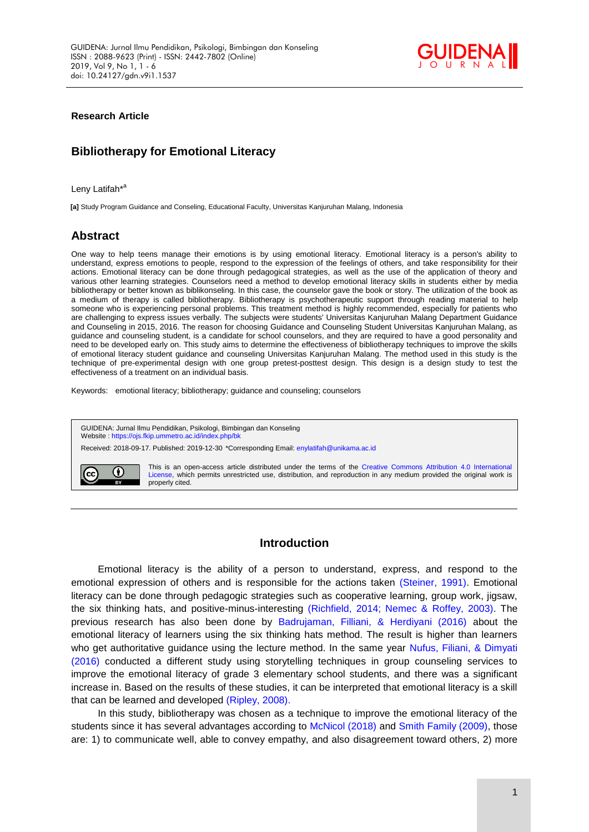

**Research Article**

# **Bibliotherapy for Emotional Literacy**

Leny Latifah<sup>\*a</sup>

**[a]** Study Program Guidance and Conseling, Educational Faculty, Universitas Kanjuruhan Malang, Indonesia

## **Abstract**

One way to help teens manage their emotions is by using emotional literacy. Emotional literacy is a person's ability to understand, express emotions to people, respond to the expression of the feelings of others, and take responsibility for their actions. Emotional literacy can be done through pedagogical strategies, as well as the use of the application of theory and various other learning strategies. Counselors need a method to develop emotional literacy skills in students either by media bibliotherapy or better known as biblikonseling. In this case, the counselor gave the book or story. The utilization of the book as a medium of therapy is called bibliotherapy. Bibliotherapy is psychotherapeutic support through reading material to help someone who is experiencing personal problems. This treatment method is highly recommended, especially for patients who are challenging to express issues verbally. The subjects were students' Universitas Kanjuruhan Malang Department Guidance and Counseling in 2015, 2016. The reason for choosing Guidance and Counseling Student Universitas Kanjuruhan Malang, as guidance and counseling student, is a candidate for school counselors, and they are required to have a good personality and need to be developed early on. This study aims to determine the effectiveness of bibliotherapy techniques to improve the skills of emotional literacy student guidance and counseling Universitas Kanjuruhan Malang. The method used in this study is the technique of pre-experimental design with one group pretest-posttest design. This design is a design study to test the effectiveness of a treatment on an individual basis.

Keywords: emotional literacy; bibliotherapy; guidance and counseling; counselors

GUIDENA: Jurnal Ilmu Pendidikan, Psikologi, Bimbingan dan Konseling Website [: https://ojs.fkip.ummetro.ac.id/index.php/bk](https://ojs.fkip.ummetro.ac.id/index.php/bk) Received: 2018-09-17. Published: 2019-12-30 \*Corresponding Email[: enylatifah@unikama.ac.id](mailto:enylatifah@unikama.ac.id) This is an open-access article distributed under the terms of the [Creative Commons Attribution 4.0 International](http://creativecommons.org/licenses/by/4.0/)  ⊙ (cc [License,](http://creativecommons.org/licenses/by/4.0/) which permits unrestricted use, distribution, and reproduction in any medium provided the original work is properly cited.

## **Introduction**

Emotional literacy is the ability of a person to understand, express, and respond to the emotional expression of others and is responsible for the actions taken [\(Steiner, 1991\).](#page-4-0) Emotional literacy can be done through pedagogic strategies such as cooperative learning, group work, jigsaw, the six thinking hats, and positive-minus-interesting [\(Richfield, 2014; Nemec & Roffey, 2003\).](#page-4-0) The previous research has also been done by [Badrujaman, Filliani, & Herdiyani \(2016\)](#page-4-0) about the emotional literacy of learners using the six thinking hats method. The result is higher than learners who get authoritative guidance using the lecture method. In the same year Nufus, Filiani, & Dimyati (2016) conducted a different study using storytelling techniques in group counseling services to improve the emotional literacy of grade 3 elementary school students, and there was a significant increase in. Based on the results of these studies, it can be interpreted that emotional literacy is a skill that can be learned and developed [\(Ripley, 2008\).](#page-4-0)

In this study, bibliotherapy was chosen as a technique to improve the emotional literacy of the students since it has several advantages according to [McNicol \(2018\)](#page-4-0) and [Smith Family \(2009\),](#page-4-0) those are: 1) to communicate well, able to convey empathy, and also disagreement toward others, 2) more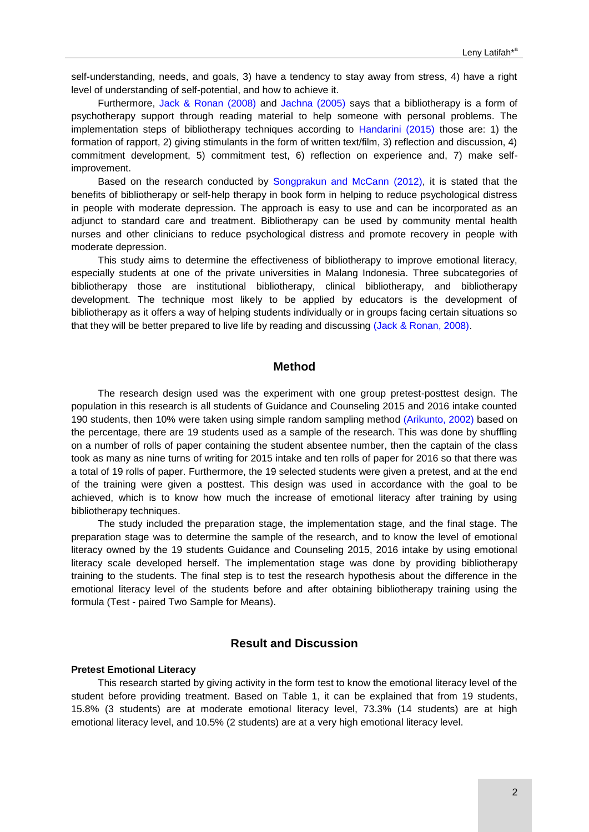self-understanding, needs, and goals, 3) have a tendency to stay away from stress, 4) have a right level of understanding of self-potential, and how to achieve it.

Furthermore, [Jack & Ronan](#page-4-0) (2008) and [Jachna \(2005\)](#page-4-0) says that a bibliotherapy is a form of psychotherapy support through reading material to help someone with personal problems. The implementation steps of bibliotherapy techniques according to [Handarini \(2015\)](#page-4-0) those are: 1) the formation of rapport, 2) giving stimulants in the form of written text/film, 3) reflection and discussion, 4) commitment development, 5) commitment test, 6) reflection on experience and, 7) make selfimprovement.

Based on the research conducted by [Songprakun and McCann](#page-4-0) (2012), it is stated that the benefits of bibliotherapy or self‐help therapy in book form in helping to reduce psychological distress in people with moderate depression. The approach is easy to use and can be incorporated as an adjunct to standard care and treatment. Bibliotherapy can be used by community mental health nurses and other clinicians to reduce psychological distress and promote recovery in people with moderate depression.

This study aims to determine the effectiveness of bibliotherapy to improve emotional literacy, especially students at one of the private universities in Malang Indonesia. Three subcategories of bibliotherapy those are institutional bibliotherapy, clinical bibliotherapy, and bibliotherapy development. The technique most likely to be applied by educators is the development of bibliotherapy as it offers a way of helping students individually or in groups facing certain situations so that they will be better prepared to live life by reading and discussing [\(Jack & Ronan, 2008\).](#page-4-0)

## **Method**

The research design used was the experiment with one group pretest-posttest design. The population in this research is all students of Guidance and Counseling 2015 and 2016 intake counted 190 students, then 10% were taken using simple random sampling method [\(Arikunto, 2002\)](#page-4-0) based on the percentage, there are 19 students used as a sample of the research. This was done by shuffling on a number of rolls of paper containing the student absentee number, then the captain of the class took as many as nine turns of writing for 2015 intake and ten rolls of paper for 2016 so that there was a total of 19 rolls of paper. Furthermore, the 19 selected students were given a pretest, and at the end of the training were given a posttest. This design was used in accordance with the goal to be achieved, which is to know how much the increase of emotional literacy after training by using bibliotherapy techniques.

The study included the preparation stage, the implementation stage, and the final stage. The preparation stage was to determine the sample of the research, and to know the level of emotional literacy owned by the 19 students Guidance and Counseling 2015, 2016 intake by using emotional literacy scale developed herself. The implementation stage was done by providing bibliotherapy training to the students. The final step is to test the research hypothesis about the difference in the emotional literacy level of the students before and after obtaining bibliotherapy training using the formula (Test - paired Two Sample for Means).

## **Result and Discussion**

#### **Pretest Emotional Literacy**

This research started by giving activity in the form test to know the emotional literacy level of the student before providing treatment. Based on Table 1, it can be explained that from 19 students, 15.8% (3 students) are at moderate emotional literacy level, 73.3% (14 students) are at high emotional literacy level, and 10.5% (2 students) are at a very high emotional literacy level.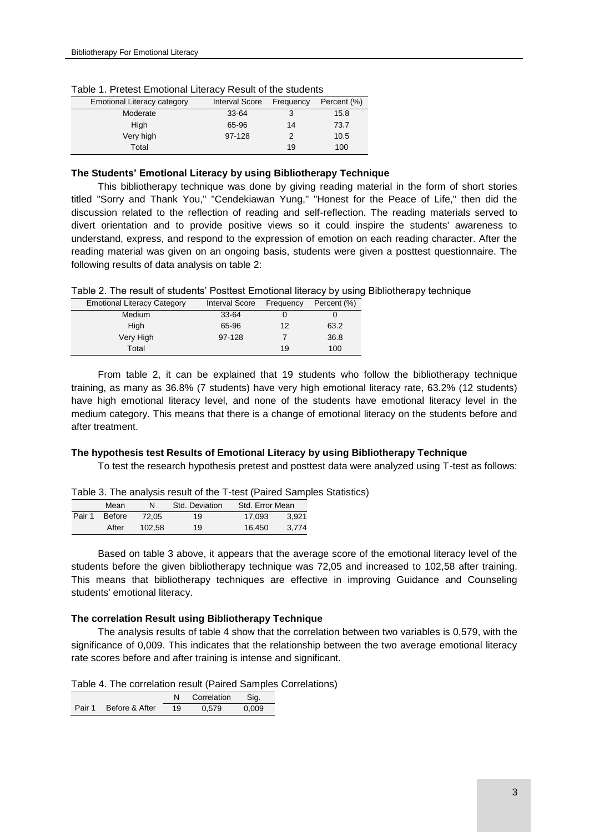| <b>Emotional Literacy category</b> | <b>Interval Score</b> | Frequency | Percent (%) |
|------------------------------------|-----------------------|-----------|-------------|
| Moderate                           | $33 - 64$             | 3         | 15.8        |
| High                               | 65-96                 | 14        | 73.7        |
| Very high                          | 97-128                |           | 10.5        |
| Total                              |                       | 19        | 100         |

Table 1. Pretest Emotional Literacy Result of the students

#### **The Students' Emotional Literacy by using Bibliotherapy Technique**

This bibliotherapy technique was done by giving reading material in the form of short stories titled "Sorry and Thank You," "Cendekiawan Yung," "Honest for the Peace of Life," then did the discussion related to the reflection of reading and self-reflection. The reading materials served to divert orientation and to provide positive views so it could inspire the students' awareness to understand, express, and respond to the expression of emotion on each reading character. After the reading material was given on an ongoing basis, students were given a posttest questionnaire. The following results of data analysis on table 2:

| <b>Emotional Literacy Category</b> | <b>Interval Score</b> | Frequency | Percent (%) |
|------------------------------------|-----------------------|-----------|-------------|
| Medium                             | $33 - 64$             |           |             |
| High                               | 65-96                 | 12        | 63.2        |
| Very High                          | 97-128                |           | 36.8        |
| Total                              |                       | 19        | 100         |

From table 2, it can be explained that 19 students who follow the bibliotherapy technique training, as many as 36.8% (7 students) have very high emotional literacy rate, 63.2% (12 students) have high emotional literacy level, and none of the students have emotional literacy level in the medium category. This means that there is a change of emotional literacy on the students before and after treatment.

#### **The hypothesis test Results of Emotional Literacy by using Bibliotherapy Technique**

To test the research hypothesis pretest and posttest data were analyzed using T-test as follows:

|               |        | $\frac{1}{2}$ and $\frac{1}{2}$ and $\frac{1}{2}$ and $\frac{1}{2}$ and $\frac{1}{2}$ and $\frac{1}{2}$ and $\frac{1}{2}$ and $\frac{1}{2}$ |                 |       |
|---------------|--------|---------------------------------------------------------------------------------------------------------------------------------------------|-----------------|-------|
| Mean          | N      | Std. Deviation                                                                                                                              | Std. Error Mean |       |
| Pair 1 Before | 72.05  | 19                                                                                                                                          | 17.093          | 3.921 |
| After         | 102.58 | 19                                                                                                                                          | 16.450          | 3.774 |

Table 3. The analysis result of the T-test (Paired Samples Statistics)

Based on table 3 above, it appears that the average score of the emotional literacy level of the students before the given bibliotherapy technique was 72,05 and increased to 102,58 after training. This means that bibliotherapy techniques are effective in improving Guidance and Counseling students' emotional literacy.

#### **The correlation Result using Bibliotherapy Technique**

The analysis results of table 4 show that the correlation between two variables is 0,579, with the significance of 0,009. This indicates that the relationship between the two average emotional literacy rate scores before and after training is intense and significant.

Table 4. The correlation result (Paired Samples Correlations)

|                       |    | Correlation | Sig.  |
|-----------------------|----|-------------|-------|
| Pair 1 Before & After | 19 | 0.579       | 0.009 |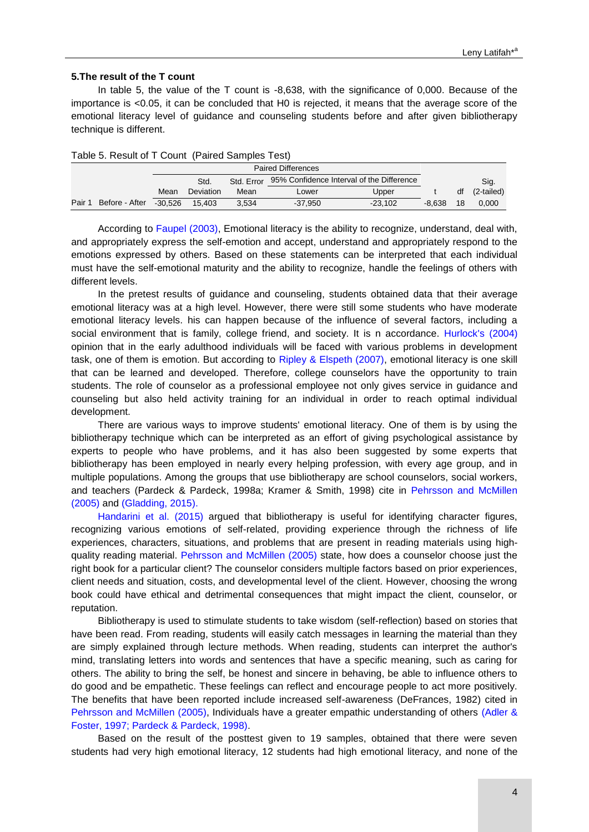#### **5.The result of the T count**

In table 5, the value of the T count is -8,638, with the significance of 0,000. Because of the importance is <0.05, it can be concluded that H0 is rejected, it means that the average score of the emotional literacy level of guidance and counseling students before and after given bibliotherapy technique is different.

|      |                | <b>Paired Differences</b> |           |            |                                           |           |          |    |            |
|------|----------------|---------------------------|-----------|------------|-------------------------------------------|-----------|----------|----|------------|
|      |                |                           | Std.      | Std. Error | 95% Confidence Interval of the Difference |           |          |    | Sig.       |
|      |                | Mean                      | Deviation | Mean       | Lower                                     | Upper     |          | df | (2-tailed) |
| Pair | Before - After | $-30.526$                 | 15.403    | 3.534      | $-37,950$                                 | $-23.102$ | $-8.638$ | 18 | 0.000      |

Table 5. Result of T Count (Paired Samples Test)

According to [Faupel](#page-4-0) (2003), Emotional literacy is the ability to recognize, understand, deal with, and appropriately express the self-emotion and accept, understand and appropriately respond to the emotions expressed by others. Based on these statements can be interpreted that each individual must have the self-emotional maturity and the ability to recognize, handle the feelings of others with different levels.

In the pretest results of guidance and counseling, students obtained data that their average emotional literacy was at a high level. However, there were still some students who have moderate emotional literacy levels. his can happen because of the influence of several factors, including a social environment that is family, college friend, and society. It is n accordance. [Hurlock's \(2004\)](#page-4-0) opinion that in the early adulthood individuals will be faced with various problems in development task, one of them is emotion. But according to [Ripley & Elspeth \(2007\),](#page-4-0) emotional literacy is one skill that can be learned and developed. Therefore, college counselors have the opportunity to train students. The role of counselor as a professional employee not only gives service in guidance and counseling but also held activity training for an individual in order to reach optimal individual development.

There are various ways to improve students' emotional literacy. One of them is by using the bibliotherapy technique which can be interpreted as an effort of giving psychological assistance by experts to people who have problems, and it has also been suggested by some experts that bibliotherapy has been employed in nearly every helping profession, with every age group, and in multiple populations. Among the groups that use bibliotherapy are school counselors, social workers, and teachers (Pardeck & Pardeck, 1998a; Kramer & Smith, 1998) cite in [Pehrsson and McMillen](#page-4-0) [\(2005\)](#page-4-0) and [\(Gladding, 2015\).](#page-4-0)

[Handarini et al. \(2015\)](#page-4-0) argued that bibliotherapy is useful for identifying character figures, recognizing various emotions of self-related, providing experience through the richness of life experiences, characters, situations, and problems that are present in reading materials using high-quality reading material. [Pehrsson and McMillen](#page-4-0) (2005) state, how does a counselor choose just the right book for a particular client? The counselor considers multiple factors based on prior experiences, client needs and situation, costs, and developmental level of the client. However, choosing the wrong book could have ethical and detrimental consequences that might impact the client, counselor, or reputation.

Bibliotherapy is used to stimulate students to take wisdom (self-reflection) based on stories that have been read. From reading, students will easily catch messages in learning the material than they are simply explained through lecture methods. When reading, students can interpret the author's mind, translating letters into words and sentences that have a specific meaning, such as caring for others. The ability to bring the self, be honest and sincere in behaving, be able to influence others to do good and be empathetic. These feelings can reflect and encourage people to act more positively. The benefits that have been reported include increased self-awareness (DeFrances, 1982) cited in [Pehrsson and McMillen](#page-4-0) (2005), Individuals have a greater empathic understanding of others [\(Adler &](#page-4-0)  [Foster, 1997; Pardeck & Pardeck, 1998\).](#page-4-0)

Based on the result of the posttest given to 19 samples, obtained that there were seven students had very high emotional literacy, 12 students had high emotional literacy, and none of the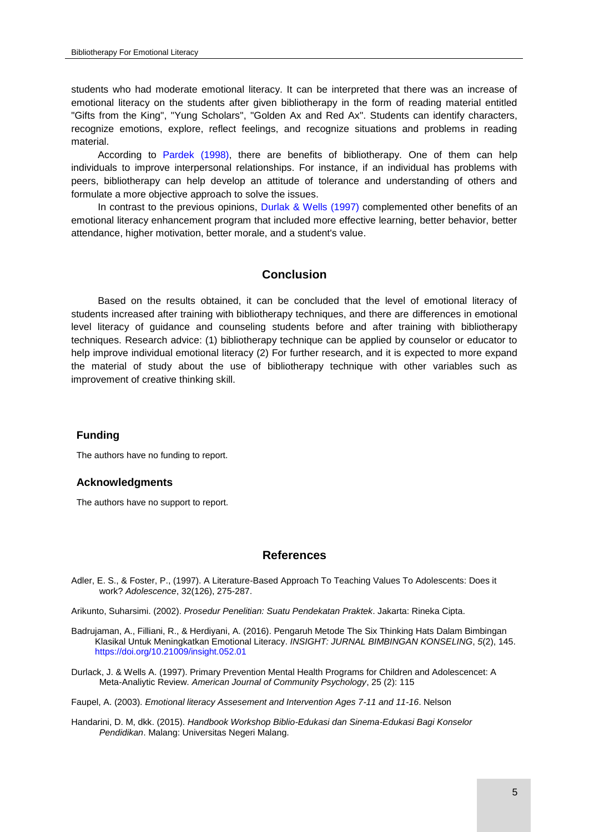students who had moderate emotional literacy. It can be interpreted that there was an increase of emotional literacy on the students after given bibliotherapy in the form of reading material entitled "Gifts from the King", "Yung Scholars", "Golden Ax and Red Ax". Students can identify characters, recognize emotions, explore, reflect feelings, and recognize situations and problems in reading material.

According to [Pardek \(1998\),](#page-4-0) there are benefits of bibliotherapy. One of them can help individuals to improve interpersonal relationships. For instance, if an individual has problems with peers, bibliotherapy can help develop an attitude of tolerance and understanding of others and formulate a more objective approach to solve the issues.

In contrast to the previous opinions, [Durlak & Wells \(1997\)](#page-4-0) complemented other benefits of an emotional literacy enhancement program that included more effective learning, better behavior, better attendance, higher motivation, better morale, and a student's value.

#### **Conclusion**

Based on the results obtained, it can be concluded that the level of emotional literacy of students increased after training with bibliotherapy techniques, and there are differences in emotional level literacy of guidance and counseling students before and after training with bibliotherapy techniques. Research advice: (1) bibliotherapy technique can be applied by counselor or educator to help improve individual emotional literacy (2) For further research, and it is expected to more expand the material of study about the use of bibliotherapy technique with other variables such as improvement of creative thinking skill.

#### **Funding**

The authors have no funding to report.

#### **Acknowledgments**

The authors have no support to report.

#### **References**

<span id="page-4-0"></span>Adler, E. S., & Foster, P., (1997). A Literature-Based Approach To Teaching Values To Adolescents: Does it work? *Adolescence*, 32(126), 275-287.

Arikunto, Suharsimi. (2002). *Prosedur Penelitian: Suatu Pendekatan Praktek*. Jakarta: Rineka Cipta.

- Badrujaman, A., Filliani, R., & Herdiyani, A. (2016). Pengaruh Metode The Six Thinking Hats Dalam Bimbingan Klasikal Untuk Meningkatkan Emotional Literacy. *INSIGHT: JURNAL BIMBINGAN KONSELING*, *5*(2), 145. <https://doi.org/10.21009/insight.052.01>
- Durlack, J. & Wells A. (1997). Primary Prevention Mental Health Programs for Children and Adolescencet: A Meta-Analiytic Review. *American Journal of Community Psychology*, 25 (2): 115

Faupel, A. (2003). *Emotional literacy Assesement and Intervention Ages 7-11 and 11-16*. Nelson

Handarini, D. M, dkk. (2015). *Handbook Workshop Biblio-Edukasi dan Sinema-Edukasi Bagi Konselor Pendidikan*. Malang: Universitas Negeri Malang.